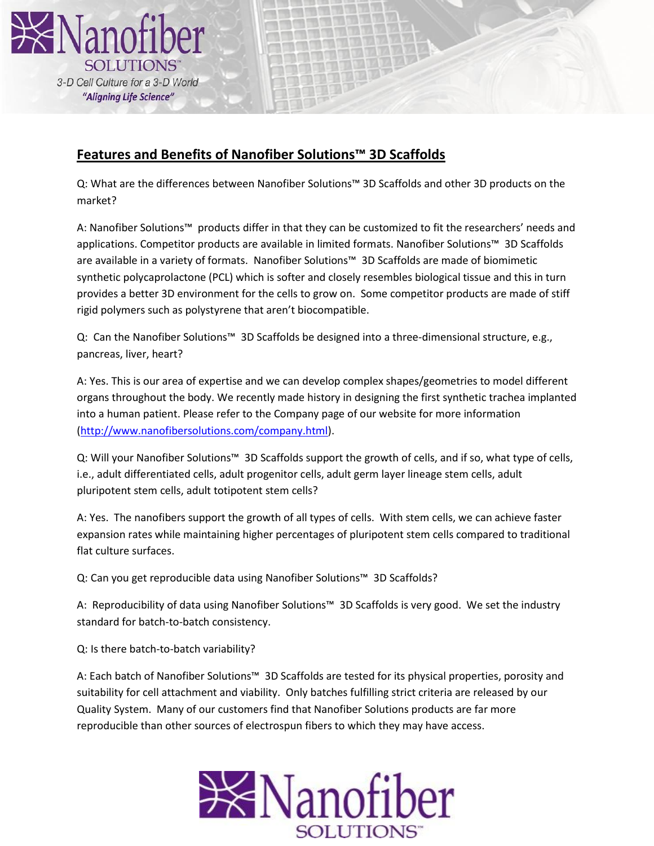

# **Features and Benefits of Nanofiber Solutions™ 3D Scaffolds**

Q: What are the differences between Nanofiber Solutions™ 3D Scaffolds and other 3D products on the market?

A: Nanofiber Solutions™ products differ in that they can be customized to fit the researchers' needs and applications. Competitor products are available in limited formats. Nanofiber Solutions™ 3D Scaffolds are available in a variety of formats. Nanofiber Solutions™ 3D Scaffolds are made of biomimetic synthetic polycaprolactone (PCL) which is softer and closely resembles biological tissue and this in turn provides a better 3D environment for the cells to grow on. Some competitor products are made of stiff rigid polymers such as polystyrene that aren't biocompatible.

Q: Can the Nanofiber Solutions™ 3D Scaffolds be designed into a three-dimensional structure, e.g., pancreas, liver, heart?

A: Yes. This is our area of expertise and we can develop complex shapes/geometries to model different organs throughout the body. We recently made history in designing the first synthetic trachea implanted into a human patient. Please refer to the Company page of our website for more information [\(http://www.nanofibersolutions.com/company.html\)](http://www.nanofibersolutions.com/company.html).

Q: Will your Nanofiber Solutions™ 3D Scaffolds support the growth of cells, and if so, what type of cells, i.e., adult differentiated cells, adult progenitor cells, adult germ layer lineage stem cells, adult pluripotent stem cells, adult totipotent stem cells?

A: Yes. The nanofibers support the growth of all types of cells. With stem cells, we can achieve faster expansion rates while maintaining higher percentages of pluripotent stem cells compared to traditional flat culture surfaces.

Q: Can you get reproducible data using Nanofiber Solutions™ 3D Scaffolds?

A: Reproducibility of data using Nanofiber Solutions™ 3D Scaffolds is very good. We set the industry standard for batch-to-batch consistency.

Q: Is there batch-to-batch variability?

A: Each batch of Nanofiber Solutions™ 3D Scaffolds are tested for its physical properties, porosity and suitability for cell attachment and viability. Only batches fulfilling strict criteria are released by our Quality System. Many of our customers find that Nanofiber Solutions products are far more reproducible than other sources of electrospun fibers to which they may have access.

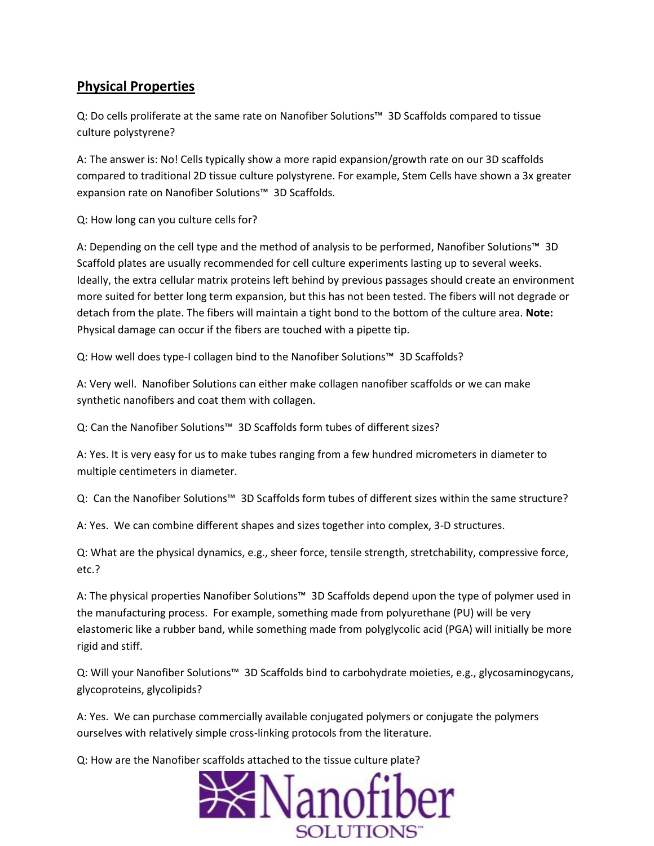## **Physical Properties**

Q: Do cells proliferate at the same rate on Nanofiber Solutions™ 3D Scaffolds compared to tissue culture polystyrene?

A: The answer is: No! Cells typically show a more rapid expansion/growth rate on our 3D scaffolds compared to traditional 2D tissue culture polystyrene. For example, Stem Cells have shown a 3x greater expansion rate on Nanofiber Solutions™ 3D Scaffolds.

Q: How long can you culture cells for?

A: Depending on the cell type and the method of analysis to be performed, Nanofiber Solutions™ 3D Scaffold plates are usually recommended for cell culture experiments lasting up to several weeks. Ideally, the extra cellular matrix proteins left behind by previous passages should create an environment more suited for better long term expansion, but this has not been tested. The fibers will not degrade or detach from the plate. The fibers will maintain a tight bond to the bottom of the culture area. **Note:**  Physical damage can occur if the fibers are touched with a pipette tip.

Q: How well does type-I collagen bind to the Nanofiber Solutions™ 3D Scaffolds?

A: Very well. Nanofiber Solutions can either make collagen nanofiber scaffolds or we can make synthetic nanofibers and coat them with collagen.

Q: Can the Nanofiber Solutions™ 3D Scaffolds form tubes of different sizes?

A: Yes. It is very easy for us to make tubes ranging from a few hundred micrometers in diameter to multiple centimeters in diameter.

Q: Can the Nanofiber Solutions™ 3D Scaffolds form tubes of different sizes within the same structure?

A: Yes. We can combine different shapes and sizes together into complex, 3-D structures.

Q: What are the physical dynamics, e.g., sheer force, tensile strength, stretchability, compressive force, etc.?

A: The physical properties Nanofiber Solutions™ 3D Scaffolds depend upon the type of polymer used in the manufacturing process. For example, something made from polyurethane (PU) will be very elastomeric like a rubber band, while something made from polyglycolic acid (PGA) will initially be more rigid and stiff.

Q: Will your Nanofiber Solutions™ 3D Scaffolds bind to carbohydrate moieties, e.g., glycosaminogycans, glycoproteins, glycolipids?

A: Yes. We can purchase commercially available conjugated polymers or conjugate the polymers ourselves with relatively simple cross-linking protocols from the literature.

Q: How are the Nanofiber scaffolds attached to the tissue culture plate?

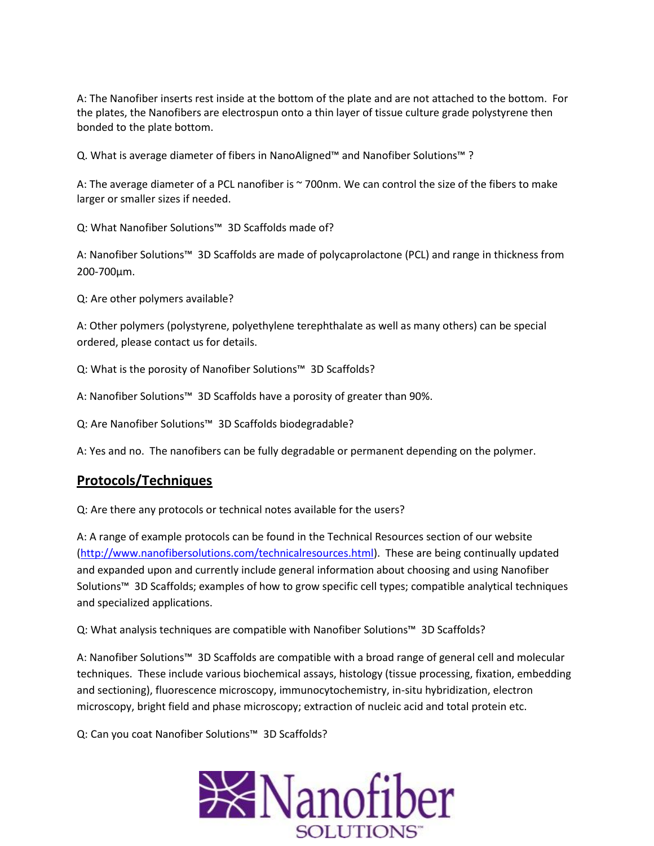A: The Nanofiber inserts rest inside at the bottom of the plate and are not attached to the bottom. For the plates, the Nanofibers are electrospun onto a thin layer of tissue culture grade polystyrene then bonded to the plate bottom.

Q. What is average diameter of fibers in NanoAligned™ and Nanofiber Solutions™ ?

A: The average diameter of a PCL nanofiber is ~700nm. We can control the size of the fibers to make larger or smaller sizes if needed.

Q: What Nanofiber Solutions™ 3D Scaffolds made of?

A: Nanofiber Solutions™ 3D Scaffolds are made of polycaprolactone (PCL) and range in thickness from 200-700µm.

Q: Are other polymers available?

A: Other polymers (polystyrene, polyethylene terephthalate as well as many others) can be special ordered, please contact us for details.

Q: What is the porosity of Nanofiber Solutions™ 3D Scaffolds?

A: Nanofiber Solutions™ 3D Scaffolds have a porosity of greater than 90%.

Q: Are Nanofiber Solutions™ 3D Scaffolds biodegradable?

A: Yes and no. The nanofibers can be fully degradable or permanent depending on the polymer.

### **Protocols/Techniques**

Q: Are there any protocols or technical notes available for the users?

A: A range of example protocols can be found in the Technical Resources section of our website [\(http://www.nanofibersolutions.com/technicalresources.html\)](http://www.nanofibersolutions.com/technicalresources.html). These are being continually updated and expanded upon and currently include general information about choosing and using Nanofiber Solutions™ 3D Scaffolds; examples of how to grow specific cell types; compatible analytical techniques and specialized applications.

Q: What analysis techniques are compatible with Nanofiber Solutions™ 3D Scaffolds?

A: Nanofiber Solutions™ 3D Scaffolds are compatible with a broad range of general cell and molecular techniques. These include various biochemical assays, histology (tissue processing, fixation, embedding and sectioning), fluorescence microscopy, immunocytochemistry, in-situ hybridization, electron microscopy, bright field and phase microscopy; extraction of nucleic acid and total protein etc.

Q: Can you coat Nanofiber Solutions™ 3D Scaffolds?

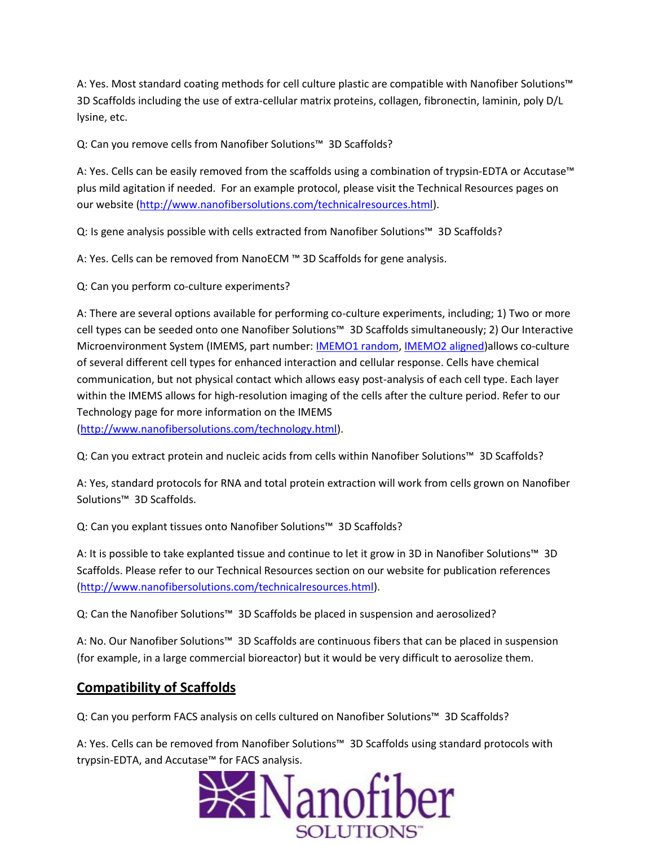A: Yes. Most standard coating methods for cell culture plastic are compatible with Nanofiber Solutions™ 3D Scaffolds including the use of extra-cellular matrix proteins, collagen, fibronectin, laminin, poly D/L lysine, etc.

Q: Can you remove cells from Nanofiber Solutions™ 3D Scaffolds?

A: Yes. Cells can be easily removed from the scaffolds using a combination of trypsin-EDTA or Accutase™ plus mild agitation if needed. For an example protocol, please visit the Technical Resources pages on our website [\(http://www.nanofibersolutions.com/technicalresources.html\)](http://www.nanofibersolutions.com/technicalresources.html).

Q: Is gene analysis possible with cells extracted from Nanofiber Solutions™ 3D Scaffolds?

A: Yes. Cells can be removed from NanoECM ™ 3D Scaffolds for gene analysis.

Q: Can you perform co-culture experiments?

A: There are several options available for performing co-culture experiments, including; 1) Two or more cell types can be seeded onto one Nanofiber Solutions™ 3D Scaffolds simultaneously; 2) Our Interactive Microenvironment System (IMEMS, part number: [IMEMO1 random, IMEMO2 aligned\)](http://www.nanofibersolutions.com/products.html)allows co-culture of several different cell types for enhanced interaction and cellular response. Cells have chemical communication, but not physical contact which allows easy post-analysis of each cell type. Each layer within the IMEMS allows for high-resolution imaging of the cells after the culture period. Refer to our Technology page for more information on the IMEMS

[\(http://www.nanofibersolutions.com/technology.html\)](http://www.nanofibersolutions.com/technology.html).

Q: Can you extract protein and nucleic acids from cells within Nanofiber Solutions™ 3D Scaffolds?

A: Yes, standard protocols for RNA and total protein extraction will work from cells grown on Nanofiber Solutions™ 3D Scaffolds.

Q: Can you explant tissues onto Nanofiber Solutions™ 3D Scaffolds?

A: It is possible to take explanted tissue and continue to let it grow in 3D in Nanofiber Solutions™ 3D Scaffolds. Please refer to our Technical Resources section on our website for publication references [\(http://www.nanofibersolutions.com/technicalresources.html\)](http://www.nanofibersolutions.com/technicalresources.html).

Q: Can the Nanofiber Solutions™ 3D Scaffolds be placed in suspension and aerosolized?

A: No. Our Nanofiber Solutions™ 3D Scaffolds are continuous fibers that can be placed in suspension (for example, in a large commercial bioreactor) but it would be very difficult to aerosolize them.

### **Compatibility of Scaffolds**

Q: Can you perform FACS analysis on cells cultured on Nanofiber Solutions™ 3D Scaffolds?

A: Yes. Cells can be removed from Nanofiber Solutions™ 3D Scaffolds using standard protocols with trypsin-EDTA, and Accutase™ for FACS analysis.

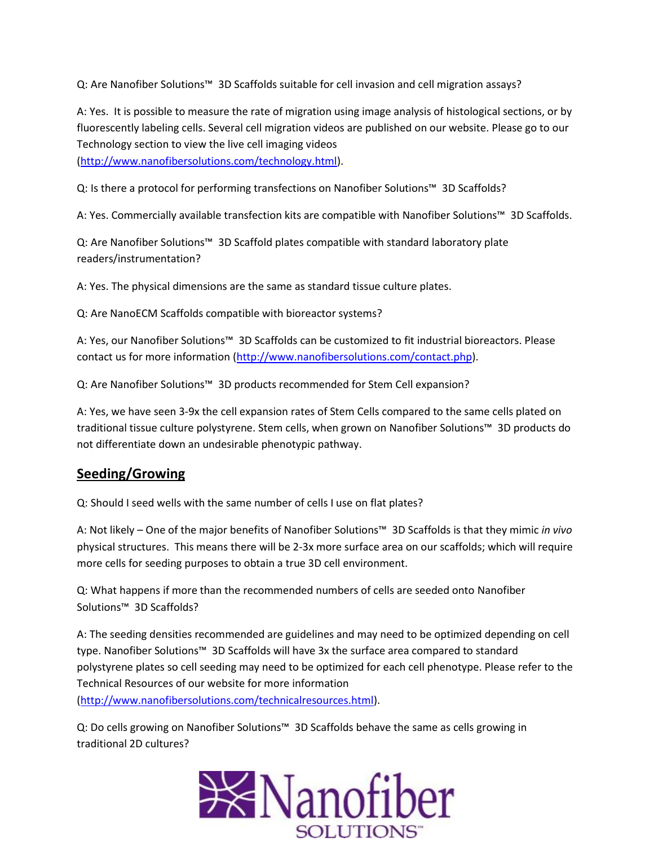Q: Are Nanofiber Solutions™ 3D Scaffolds suitable for cell invasion and cell migration assays?

A: Yes. It is possible to measure the rate of migration using image analysis of histological sections, or by fluorescently labeling cells. Several cell migration videos are published on our website. Please go to our Technology section to view the live cell imaging videos [\(http://www.nanofibersolutions.com/technology.html\)](http://www.nanofibersolutions.com/technology.html).

Q: Is there a protocol for performing transfections on Nanofiber Solutions™ 3D Scaffolds?

A: Yes. Commercially available transfection kits are compatible with Nanofiber Solutions™ 3D Scaffolds.

Q: Are Nanofiber Solutions™ 3D Scaffold plates compatible with standard laboratory plate readers/instrumentation?

A: Yes. The physical dimensions are the same as standard tissue culture plates.

Q: Are NanoECM Scaffolds compatible with bioreactor systems?

A: Yes, our Nanofiber Solutions™ 3D Scaffolds can be customized to fit industrial bioreactors. Please contact us for more information [\(http://www.nanofibersolutions.com/contact.php\)](http://www.nanofibersolutions.com/contact.php).

Q: Are Nanofiber Solutions<sup>™</sup> 3D products recommended for Stem Cell expansion?

A: Yes, we have seen 3-9x the cell expansion rates of Stem Cells compared to the same cells plated on traditional tissue culture polystyrene. Stem cells, when grown on Nanofiber Solutions™ 3D products do not differentiate down an undesirable phenotypic pathway.

### **Seeding/Growing**

Q: Should I seed wells with the same number of cells I use on flat plates?

A: Not likely – One of the major benefits of Nanofiber Solutions™ 3D Scaffolds is that they mimic *in vivo* physical structures. This means there will be 2-3x more surface area on our scaffolds; which will require more cells for seeding purposes to obtain a true 3D cell environment.

Q: What happens if more than the recommended numbers of cells are seeded onto Nanofiber Solutions™ 3D Scaffolds?

A: The seeding densities recommended are guidelines and may need to be optimized depending on cell type. Nanofiber Solutions™ 3D Scaffolds will have 3x the surface area compared to standard polystyrene plates so cell seeding may need to be optimized for each cell phenotype. Please refer to the Technical Resources of our website for more information

[\(http://www.nanofibersolutions.com/technicalresources.html\)](http://www.nanofibersolutions.com/technicalresources.html).

Q: Do cells growing on Nanofiber Solutions™ 3D Scaffolds behave the same as cells growing in traditional 2D cultures?

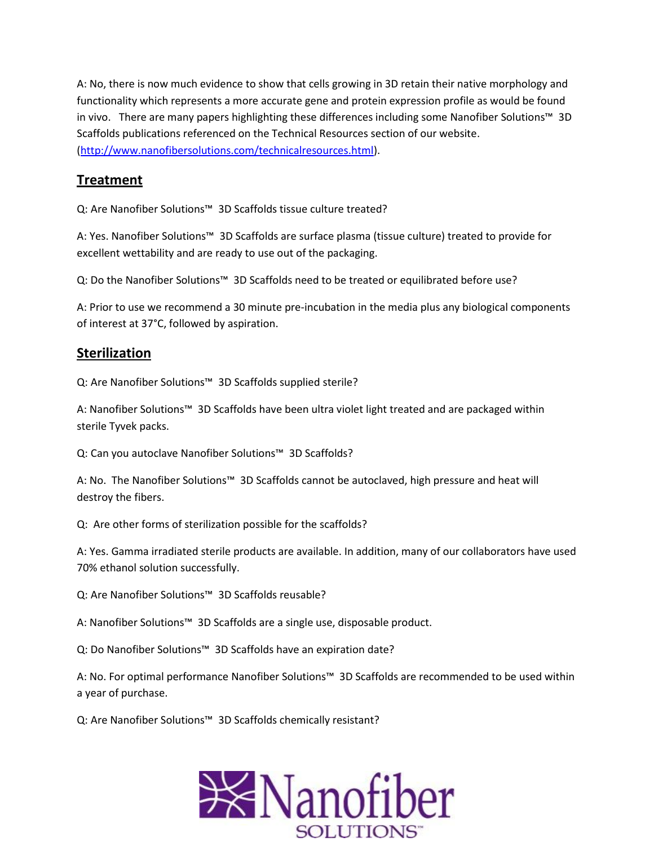A: No, there is now much evidence to show that cells growing in 3D retain their native morphology and functionality which represents a more accurate gene and protein expression profile as would be found in vivo. There are many papers highlighting these differences including some Nanofiber Solutions™ 3D Scaffolds publications referenced on the Technical Resources section of our website. [\(http://www.nanofibersolutions.com/technicalresources.html\)](http://www.nanofibersolutions.com/technicalresources.html).

## **Treatment**

Q: Are Nanofiber Solutions™ 3D Scaffolds tissue culture treated?

A: Yes. Nanofiber Solutions™ 3D Scaffolds are surface plasma (tissue culture) treated to provide for excellent wettability and are ready to use out of the packaging.

Q: Do the Nanofiber Solutions™ 3D Scaffolds need to be treated or equilibrated before use?

A: Prior to use we recommend a 30 minute pre-incubation in the media plus any biological components of interest at 37°C, followed by aspiration.

#### **Sterilization**

Q: Are Nanofiber Solutions™ 3D Scaffolds supplied sterile?

A: Nanofiber Solutions™ 3D Scaffolds have been ultra violet light treated and are packaged within sterile Tyvek packs.

Q: Can you autoclave Nanofiber Solutions™ 3D Scaffolds?

A: No. The Nanofiber Solutions™ 3D Scaffolds cannot be autoclaved, high pressure and heat will destroy the fibers.

Q: Are other forms of sterilization possible for the scaffolds?

A: Yes. Gamma irradiated sterile products are available. In addition, many of our collaborators have used 70% ethanol solution successfully.

Q: Are Nanofiber Solutions™ 3D Scaffolds reusable?

A: Nanofiber Solutions™ 3D Scaffolds are a single use, disposable product.

Q: Do Nanofiber Solutions™ 3D Scaffolds have an expiration date?

A: No. For optimal performance Nanofiber Solutions™ 3D Scaffolds are recommended to be used within a year of purchase.

Q: Are Nanofiber Solutions™ 3D Scaffolds chemically resistant?

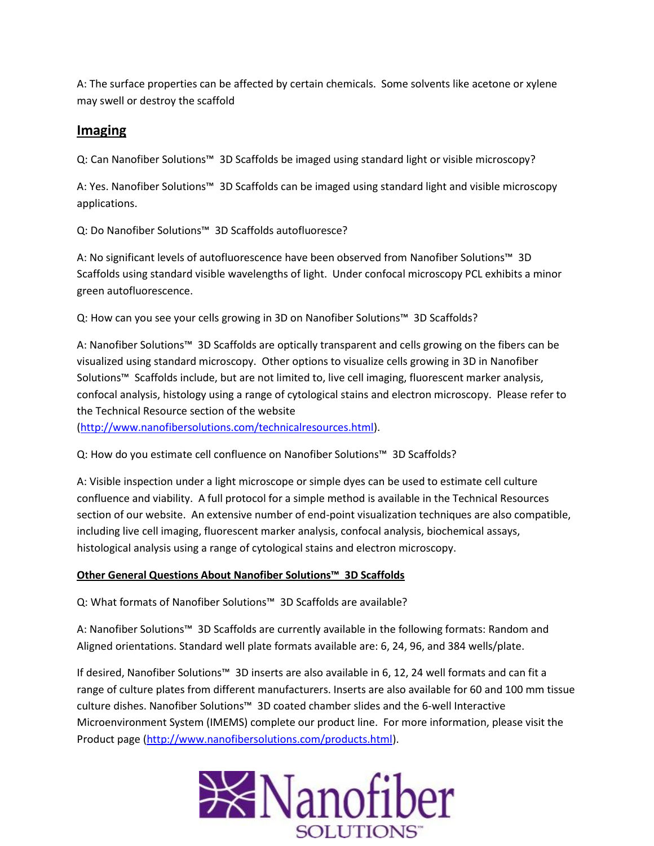A: The surface properties can be affected by certain chemicals. Some solvents like acetone or xylene may swell or destroy the scaffold

#### **Imaging**

Q: Can Nanofiber Solutions™ 3D Scaffolds be imaged using standard light or visible microscopy?

A: Yes. Nanofiber Solutions™ 3D Scaffolds can be imaged using standard light and visible microscopy applications.

Q: Do Nanofiber Solutions™ 3D Scaffolds autofluoresce?

A: No significant levels of autofluorescence have been observed from Nanofiber Solutions™ 3D Scaffolds using standard visible wavelengths of light. Under confocal microscopy PCL exhibits a minor green autofluorescence.

Q: How can you see your cells growing in 3D on Nanofiber Solutions™ 3D Scaffolds?

A: Nanofiber Solutions™ 3D Scaffolds are optically transparent and cells growing on the fibers can be visualized using standard microscopy. Other options to visualize cells growing in 3D in Nanofiber Solutions™ Scaffolds include, but are not limited to, live cell imaging, fluorescent marker analysis, confocal analysis, histology using a range of cytological stains and electron microscopy. Please refer to the Technical Resource section of the website [\(http://www.nanofibersolutions.com/technicalresources.html\)](http://www.nanofibersolutions.com/technicalresources.html).

Q: How do you estimate cell confluence on Nanofiber Solutions™ 3D Scaffolds?

A: Visible inspection under a light microscope or simple dyes can be used to estimate cell culture confluence and viability. A full protocol for a simple method is available in the Technical Resources section of our website. An extensive number of end-point visualization techniques are also compatible, including live cell imaging, fluorescent marker analysis, confocal analysis, biochemical assays, histological analysis using a range of cytological stains and electron microscopy.

#### **Other General Questions About Nanofiber Solutions™ 3D Scaffolds**

Q: What formats of Nanofiber Solutions™ 3D Scaffolds are available?

A: Nanofiber Solutions™ 3D Scaffolds are currently available in the following formats: Random and Aligned orientations. Standard well plate formats available are: 6, 24, 96, and 384 wells/plate.

If desired, Nanofiber Solutions™ 3D inserts are also available in 6, 12, 24 well formats and can fit a range of culture plates from different manufacturers. Inserts are also available for 60 and 100 mm tissue culture dishes. Nanofiber Solutions™ 3D coated chamber slides and the 6-well Interactive Microenvironment System (IMEMS) complete our product line. For more information, please visit the Product page [\(http://www.nanofibersolutions.com/products.html\)](http://www.nanofibersolutions.com/products.html).